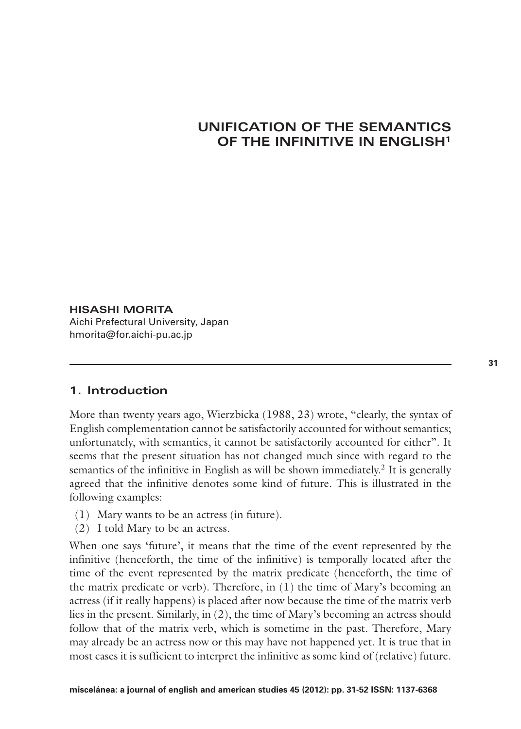# **UNIFICATION OF THE SEMANTICS OF THE INFINITIVE IN ENGLISH1**

### **HISASHI MORITA**

Aichi Prefectural University, Japan hmorita@for.aichi-pu.ac.jp

# **1. Introduction**

More than twenty years ago, Wierzbicka (1988, 23) wrote, "clearly, the syntax of English complementation cannot be satisfactorily accounted for without semantics; unfortunately, with semantics, it cannot be satisfactorily accounted for either". It seems that the present situation has not changed much since with regard to the semantics of the infinitive in English as will be shown immediately.<sup>2</sup> It is generally agreed that the infinitive denotes some kind of future. This is illustrated in the following examples:

- (1) Mary wants to be an actress (in future).
- (2) I told Mary to be an actress.

When one says 'future', it means that the time of the event represented by the infinitive (henceforth, the time of the infinitive) is temporally located after the time of the event represented by the matrix predicate (henceforth, the time of the matrix predicate or verb). Therefore, in (1) the time of Mary's becoming an actress (if it really happens) is placed after now because the time of the matrix verb lies in the present. Similarly, in (2), the time of Mary's becoming an actress should follow that of the matrix verb, which is sometime in the past. Therefore, Mary may already be an actress now or this may have not happened yet. It is true that in most cases it is sufficient to interpret the infinitive as some kind of (relative) future.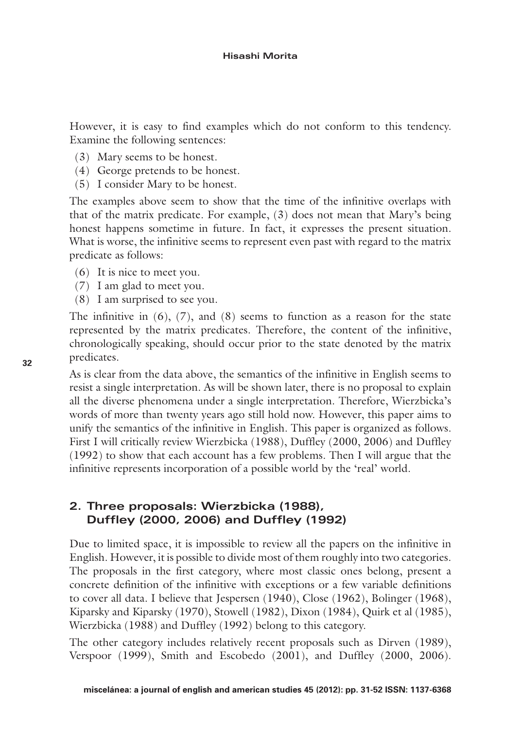However, it is easy to find examples which do not conform to this tendency. Examine the following sentences:

- (3) Mary seems to be honest.
- (4) George pretends to be honest.
- (5) I consider Mary to be honest.

The examples above seem to show that the time of the infinitive overlaps with that of the matrix predicate. For example, (3) does not mean that Mary's being honest happens sometime in future. In fact, it expresses the present situation. What is worse, the infinitive seems to represent even past with regard to the matrix predicate as follows:

- (6) It is nice to meet you.
- (7) I am glad to meet you.
- (8) I am surprised to see you.

The infinitive in  $(6)$ ,  $(7)$ , and  $(8)$  seems to function as a reason for the state represented by the matrix predicates. Therefore, the content of the infinitive, chronologically speaking, should occur prior to the state denoted by the matrix predicates.

As is clear from the data above, the semantics of the infinitive in English seems to resist a single interpretation. As will be shown later, there is no proposal to explain all the diverse phenomena under a single interpretation. Therefore, Wierzbicka's words of more than twenty years ago still hold now. However, this paper aims to unify the semantics of the infinitive in English. This paper is organized as follows. First I will critically review Wierzbicka (1988), Duffley (2000, 2006) and Duffley (1992) to show that each account has a few problems. Then I will argue that the infinitive represents incorporation of a possible world by the 'real' world.

# **2. Three proposals: Wierzbicka (1988), Duffley (2000, 2006) and Duffley (1992)**

Due to limited space, it is impossible to review all the papers on the infinitive in English. However, it is possible to divide most of them roughly into two categories. The proposals in the first category, where most classic ones belong, present a concrete definition of the infinitive with exceptions or a few variable definitions to cover all data. I believe that Jespersen (1940), Close (1962), Bolinger (1968), Kiparsky and Kiparsky (1970), Stowell (1982), Dixon (1984), Quirk et al (1985), Wierzbicka (1988) and Duffley (1992) belong to this category.

The other category includes relatively recent proposals such as Dirven (1989), Verspoor (1999), Smith and Escobedo (2001), and Duffley (2000, 2006).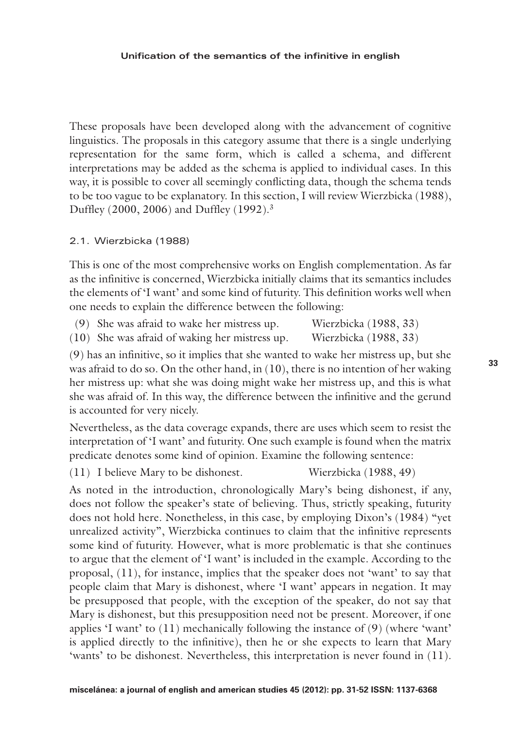#### **Unification of the semantics of the infinitive in english**

These proposals have been developed along with the advancement of cognitive linguistics. The proposals in this category assume that there is a single underlying representation for the same form, which is called a schema, and different interpretations may be added as the schema is applied to individual cases. In this way, it is possible to cover all seemingly conflicting data, though the schema tends to be too vague to be explanatory. In this section, I will review Wierzbicka (1988), Duffley (2000, 2006) and Duffley (1992).3

#### 2.1. Wierzbicka (1988)

This is one of the most comprehensive works on English complementation. As far as the infinitive is concerned, Wierzbicka initially claims that its semantics includes the elements of 'I want' and some kind of futurity. This definition works well when one needs to explain the difference between the following:

- (9) She was afraid to wake her mistress up. Wierzbicka (1988, 33)
- (10) She was afraid of waking her mistress up. Wierzbicka (1988, 33)

(9) has an infinitive, so it implies that she wanted to wake her mistress up, but she was afraid to do so. On the other hand, in (10), there is no intention of her waking her mistress up: what she was doing might wake her mistress up, and this is what she was afraid of. In this way, the difference between the infinitive and the gerund is accounted for very nicely.

Nevertheless, as the data coverage expands, there are uses which seem to resist the interpretation of 'I want' and futurity. One such example is found when the matrix predicate denotes some kind of opinion. Examine the following sentence:

(11) I believe Mary to be dishonest. Wierzbicka (1988, 49)

As noted in the introduction, chronologically Mary's being dishonest, if any, does not follow the speaker's state of believing. Thus, strictly speaking, futurity does not hold here. Nonetheless, in this case, by employing Dixon's (1984) "yet unrealized activity", Wierzbicka continues to claim that the infinitive represents some kind of futurity. However, what is more problematic is that she continues to argue that the element of 'I want' is included in the example. According to the proposal, (11), for instance, implies that the speaker does not 'want' to say that people claim that Mary is dishonest, where 'I want' appears in negation. It may be presupposed that people, with the exception of the speaker, do not say that Mary is dishonest, but this presupposition need not be present. Moreover, if one applies  $\mathfrak l$  want' to  $(11)$  mechanically following the instance of  $(9)$  (where 'want' is applied directly to the infinitive), then he or she expects to learn that Mary 'wants' to be dishonest. Nevertheless, this interpretation is never found in (11).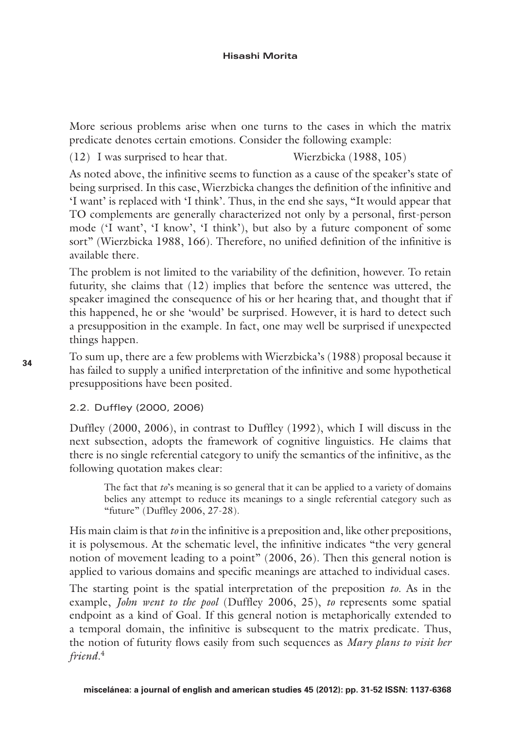More serious problems arise when one turns to the cases in which the matrix predicate denotes certain emotions. Consider the following example:

(12) I was surprised to hear that. Wierzbicka (1988, 105)

As noted above, the infinitive seems to function as a cause of the speaker's state of being surprised. In this case, Wierzbicka changes the definition of the infinitive and 'I want' is replaced with 'I think'. Thus, in the end she says, "It would appear that TO complements are generally characterized not only by a personal, first-person mode ('I want', 'I know', 'I think'), but also by a future component of some sort" (Wierzbicka 1988, 166). Therefore, no unified definition of the infinitive is available there.

The problem is not limited to the variability of the definition, however. To retain futurity, she claims that (12) implies that before the sentence was uttered, the speaker imagined the consequence of his or her hearing that, and thought that if this happened, he or she 'would' be surprised. However, it is hard to detect such a presupposition in the example. In fact, one may well be surprised if unexpected things happen.

To sum up, there are a few problems with Wierzbicka's (1988) proposal because it has failed to supply a unified interpretation of the infinitive and some hypothetical presuppositions have been posited.

2.2. Duffley (2000, 2006)

Duffley (2000, 2006), in contrast to Duffley (1992), which I will discuss in the next subsection, adopts the framework of cognitive linguistics. He claims that there is no single referential category to unify the semantics of the infinitive, as the following quotation makes clear:

The fact that *to*'s meaning is so general that it can be applied to a variety of domains belies any attempt to reduce its meanings to a single referential category such as "future" (Duffley 2006, 27-28).

His main claim is that *to* in the infinitive is a preposition and, like other prepositions, it is polysemous. At the schematic level, the infinitive indicates "the very general notion of movement leading to a point" (2006, 26). Then this general notion is applied to various domains and specific meanings are attached to individual cases.

The starting point is the spatial interpretation of the preposition *to*. As in the example, *John went to the pool* (Duffley 2006, 25), *to* represents some spatial endpoint as a kind of Goal. If this general notion is metaphorically extended to a temporal domain, the infinitive is subsequent to the matrix predicate. Thus, the notion of futurity flows easily from such sequences as *Mary plans to visit her friend*. 4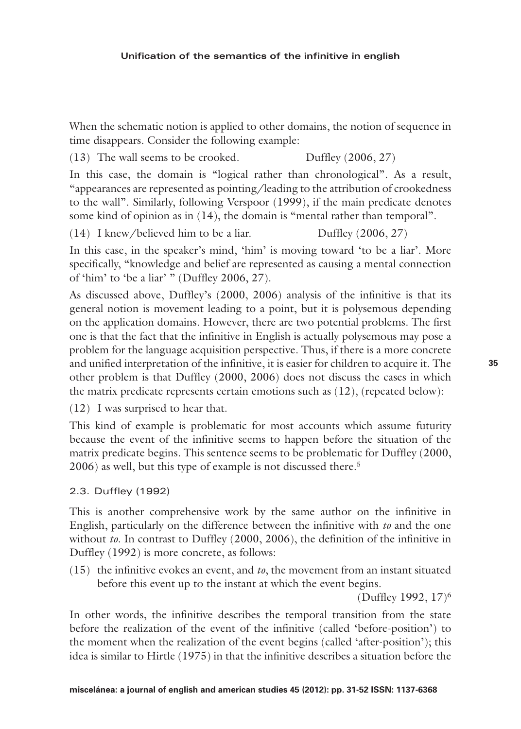When the schematic notion is applied to other domains, the notion of sequence in time disappears. Consider the following example:

(13) The wall seems to be crooked. Duffley (2006, 27)

In this case, the domain is "logical rather than chronological". As a result, "appearances are represented as pointing/leading to the attribution of crookedness to the wall". Similarly, following Verspoor (1999), if the main predicate denotes some kind of opinion as in (14), the domain is "mental rather than temporal".

(14) I knew/believed him to be a liar. Duffley (2006, 27)

In this case, in the speaker's mind, 'him' is moving toward 'to be a liar'. More specifically, "knowledge and belief are represented as causing a mental connection of 'him' to 'be a liar' " (Duffley 2006, 27).

As discussed above, Duffley's (2000, 2006) analysis of the infinitive is that its general notion is movement leading to a point, but it is polysemous depending on the application domains. However, there are two potential problems. The first one is that the fact that the infinitive in English is actually polysemous may pose a problem for the language acquisition perspective. Thus, if there is a more concrete and unified interpretation of the infinitive, it is easier for children to acquire it. The other problem is that Duffley (2000, 2006) does not discuss the cases in which the matrix predicate represents certain emotions such as (12), (repeated below):

(12) I was surprised to hear that.

This kind of example is problematic for most accounts which assume futurity because the event of the infinitive seems to happen before the situation of the matrix predicate begins. This sentence seems to be problematic for Duffley (2000, 2006) as well, but this type of example is not discussed there.<sup>5</sup>

# 2.3. Duffley (1992)

This is another comprehensive work by the same author on the infinitive in English, particularly on the difference between the infinitive with *to* and the one without *to*. In contrast to Duffley (2000, 2006), the definition of the infinitive in Duffley (1992) is more concrete, as follows:

(15) the infinitive evokes an event, and *to*, the movement from an instant situated before this event up to the instant at which the event begins.

(Duffley 1992, 17)6

In other words, the infinitive describes the temporal transition from the state before the realization of the event of the infinitive (called 'before-position') to the moment when the realization of the event begins (called 'after-position'); this idea is similar to Hirtle (1975) in that the infinitive describes a situation before the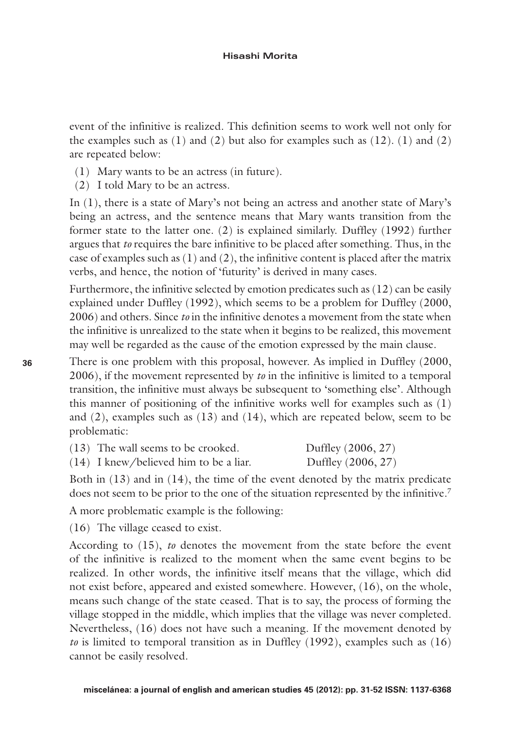event of the infinitive is realized. This definition seems to work well not only for the examples such as  $(1)$  and  $(2)$  but also for examples such as  $(12)$ .  $(1)$  and  $(2)$ are repeated below:

- (1) Mary wants to be an actress (in future).
- (2) I told Mary to be an actress.

In (1), there is a state of Mary's not being an actress and another state of Mary's being an actress, and the sentence means that Mary wants transition from the former state to the latter one. (2) is explained similarly. Duffley (1992) further argues that *to* requires the bare infinitive to be placed after something. Thus, in the case of examples such as (1) and (2), the infinitive content is placed after the matrix verbs, and hence, the notion of 'futurity' is derived in many cases.

Furthermore, the infinitive selected by emotion predicates such as (12) can be easily explained under Duffley (1992), which seems to be a problem for Duffley (2000, 2006) and others. Since *to* in the infinitive denotes a movement from the state when the infinitive is unrealized to the state when it begins to be realized, this movement may well be regarded as the cause of the emotion expressed by the main clause.

There is one problem with this proposal, however. As implied in Duffley (2000, 2006), if the movement represented by *to* in the infinitive is limited to a temporal transition, the infinitive must always be subsequent to 'something else'. Although this manner of positioning of the infinitive works well for examples such as  $(1)$ and  $(2)$ , examples such as  $(13)$  and  $(14)$ , which are repeated below, seem to be problematic:

| $(13)$ The wall seems to be crooked.     | Duffley (2006, 27) |
|------------------------------------------|--------------------|
| $(14)$ I knew/believed him to be a liar. | Duffley (2006, 27) |

Both in (13) and in (14), the time of the event denoted by the matrix predicate does not seem to be prior to the one of the situation represented by the infinitive.<sup>7</sup>

A more problematic example is the following:

(16) The village ceased to exist.

According to (15), *to* denotes the movement from the state before the event of the infinitive is realized to the moment when the same event begins to be realized. In other words, the infinitive itself means that the village, which did not exist before, appeared and existed somewhere. However, (16), on the whole, means such change of the state ceased. That is to say, the process of forming the village stopped in the middle, which implies that the village was never completed. Nevertheless, (16) does not have such a meaning. If the movement denoted by *to* is limited to temporal transition as in Duffley (1992), examples such as (16) cannot be easily resolved.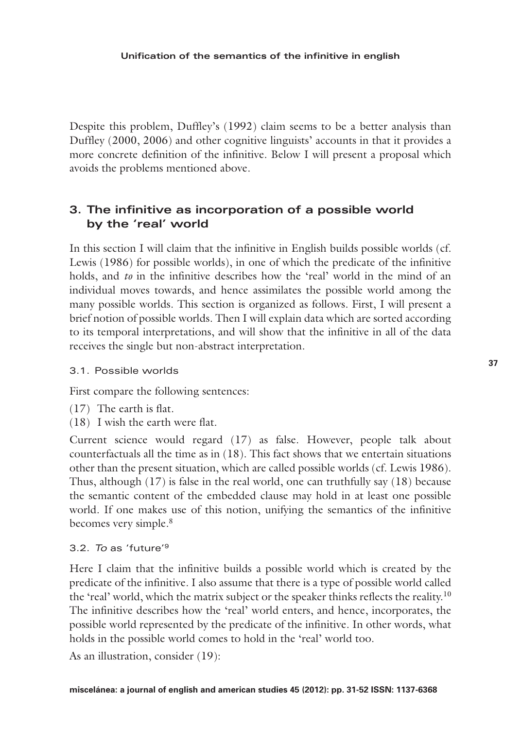Despite this problem, Duffley's (1992) claim seems to be a better analysis than Duffley (2000, 2006) and other cognitive linguists' accounts in that it provides a more concrete definition of the infinitive. Below I will present a proposal which avoids the problems mentioned above.

# **3. The infinitive as incorporation of a possible world by the 'real' world**

In this section I will claim that the infinitive in English builds possible worlds (cf. Lewis (1986) for possible worlds), in one of which the predicate of the infinitive holds, and *to* in the infinitive describes how the 'real' world in the mind of an individual moves towards, and hence assimilates the possible world among the many possible worlds. This section is organized as follows. First, I will present a brief notion of possible worlds. Then I will explain data which are sorted according to its temporal interpretations, and will show that the infinitive in all of the data receives the single but non-abstract interpretation.

### 3.1. Possible worlds

First compare the following sentences:

- (17) The earth is flat.
- (18) I wish the earth were flat.

Current science would regard (17) as false. However, people talk about counterfactuals all the time as in (18). This fact shows that we entertain situations other than the present situation, which are called possible worlds (cf. Lewis 1986). Thus, although  $(17)$  is false in the real world, one can truthfully say  $(18)$  because the semantic content of the embedded clause may hold in at least one possible world. If one makes use of this notion, unifying the semantics of the infinitive becomes very simple.<sup>8</sup>

## 3.2. *To* as 'future'9

Here I claim that the infinitive builds a possible world which is created by the predicate of the infinitive. I also assume that there is a type of possible world called the 'real' world, which the matrix subject or the speaker thinks reflects the reality.<sup>10</sup> The infinitive describes how the 'real' world enters, and hence, incorporates, the possible world represented by the predicate of the infinitive. In other words, what holds in the possible world comes to hold in the 'real' world too.

As an illustration, consider (19):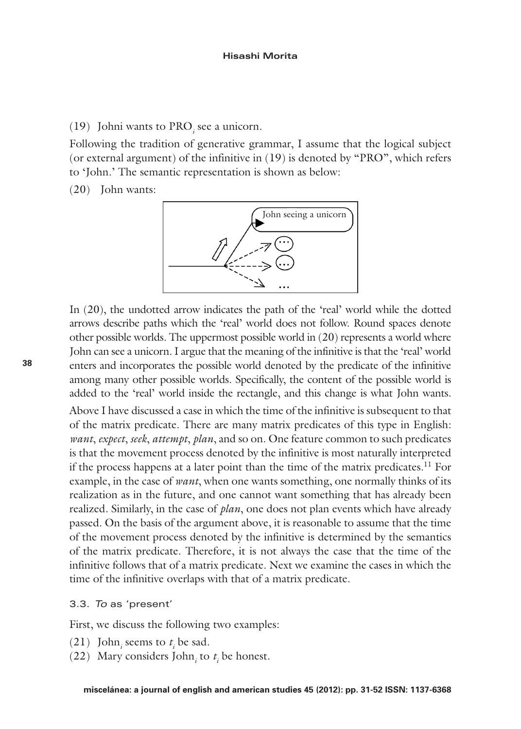# $(19)$  Johni wants to PRO<sub>*i*</sub> see a unicorn.

Following the tradition of generative grammar, I assume that the logical subject (or external argument) of the infinitive in (19) is denoted by "PRO", which refers to 'John.' The semantic representation is shown as below:

(20) John wants:



In (20), the undotted arrow indicates the path of the 'real' world while the dotted arrows describe paths which the 'real' world does not follow. Round spaces denote other possible worlds. The uppermost possible world in (20) represents a world where John can see a unicorn. I argue that the meaning of the infinitive is that the 'real' world enters and incorporates the possible world denoted by the predicate of the infinitive among many other possible worlds. Specifically, the content of the possible world is added to the 'real' world inside the rectangle, and this change is what John wants.

Above I have discussed a case in which the time of the infinitive is subsequent to that of the matrix predicate. There are many matrix predicates of this type in English: *want*, *expect*, *seek*, *attempt*, *plan*, and so on. One feature common to such predicates is that the movement process denoted by the infinitive is most naturally interpreted if the process happens at a later point than the time of the matrix predicates.<sup>11</sup> For example, in the case of *want*, when one wants something, one normally thinks of its realization as in the future, and one cannot want something that has already been realized. Similarly, in the case of *plan*, one does not plan events which have already passed. On the basis of the argument above, it is reasonable to assume that the time of the movement process denoted by the infinitive is determined by the semantics of the matrix predicate. Therefore, it is not always the case that the time of the infinitive follows that of a matrix predicate. Next we examine the cases in which the time of the infinitive overlaps with that of a matrix predicate.

### 3.3. *To* as 'present'

First, we discuss the following two examples:

- (21) John<sub>*i*</sub> seems to  $t_i$  be sad.
- (22) Mary considers John<sub>*i*</sub> to  $t_i$  be honest.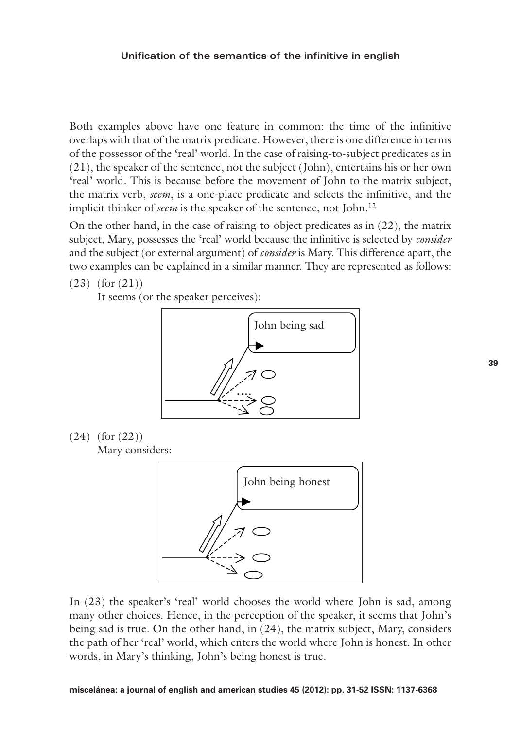#### **Unification of the semantics of the infinitive in english**

Both examples above have one feature in common: the time of the infinitive overlaps with that of the matrix predicate. However, there is one difference in terms of the possessor of the 'real' world. In the case of raising-to-subject predicates as in (21), the speaker of the sentence, not the subject (John), entertains his or her own 'real' world. This is because before the movement of John to the matrix subject, the matrix verb, *seem*, is a one-place predicate and selects the infinitive, and the implicit thinker of *seem* is the speaker of the sentence, not John.<sup>12</sup>

On the other hand, in the case of raising-to-object predicates as in (22), the matrix subject, Mary, possesses the 'real' world because the infinitive is selected by *consider* and the subject (or external argument) of *consider* is Mary. This difference apart, the two examples can be explained in a similar manner. They are represented as follows:

(23) (for (21))

It seems (or the speaker perceives):





Mary considers:



In (23) the speaker's 'real' world chooses the world where John is sad, among many other choices. Hence, in the perception of the speaker, it seems that John's being sad is true. On the other hand, in (24), the matrix subject, Mary, considers the path of her 'real' world, which enters the world where John is honest. In other words, in Mary's thinking, John's being honest is true.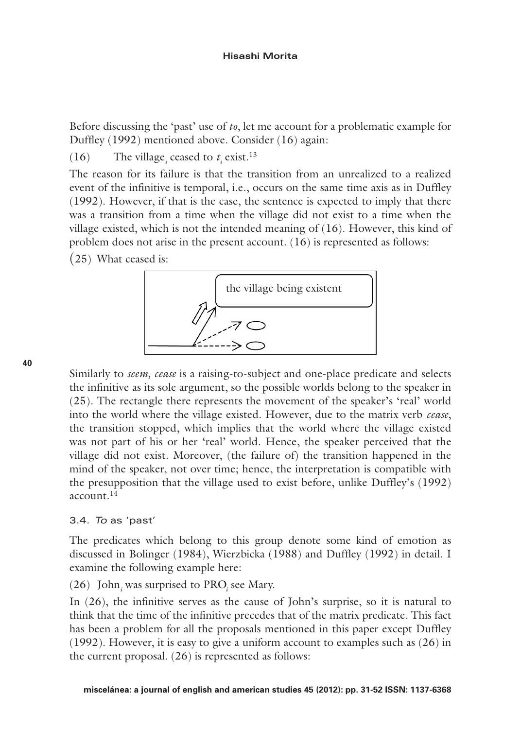Before discussing the 'past' use of *to*, let me account for a problematic example for Duffley (1992) mentioned above. Consider (16) again:

(16) The village<sub>*i*</sub> ceased to  $t_i$  exist.<sup>13</sup>

The reason for its failure is that the transition from an unrealized to a realized event of the infinitive is temporal, i.e., occurs on the same time axis as in Duffley (1992). However, if that is the case, the sentence is expected to imply that there was a transition from a time when the village did not exist to a time when the village existed, which is not the intended meaning of  $(16)$ . However, this kind of problem does not arise in the present account. (16) is represented as follows:

(25) What ceased is:



Similarly to *seem, cease* is a raising-to-subject and one-place predicate and selects the infinitive as its sole argument, so the possible worlds belong to the speaker in (25). The rectangle there represents the movement of the speaker's 'real' world into the world where the village existed. However, due to the matrix verb *cease*, the transition stopped, which implies that the world where the village existed was not part of his or her 'real' world. Hence, the speaker perceived that the village did not exist. Moreover, (the failure of) the transition happened in the mind of the speaker, not over time; hence, the interpretation is compatible with the presupposition that the village used to exist before, unlike Duffley's (1992) account  $14$ 

# 3.4. *To* as 'past'

The predicates which belong to this group denote some kind of emotion as discussed in Bolinger (1984), Wierzbicka (1988) and Duffley (1992) in detail. I examine the following example here:

 $(26)$  John<sub>*i*</sub> was surprised to PRO<sub>*i*</sub> see Mary.

In (26), the infinitive serves as the cause of John's surprise, so it is natural to think that the time of the infinitive precedes that of the matrix predicate. This fact has been a problem for all the proposals mentioned in this paper except Duffley (1992). However, it is easy to give a uniform account to examples such as (26) in the current proposal. (26) is represented as follows: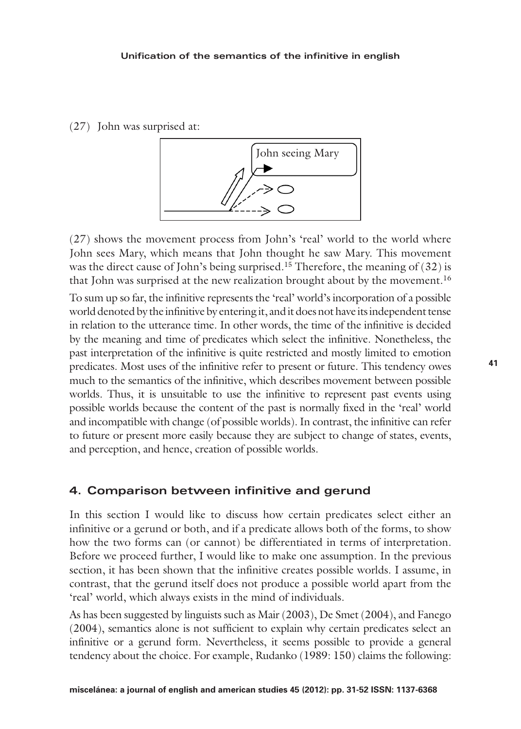(27) John was surprised at:



(27) shows the movement process from John's 'real' world to the world where John sees Mary, which means that John thought he saw Mary. This movement was the direct cause of John's being surprised.<sup>15</sup> Therefore, the meaning of  $(32)$  is that John was surprised at the new realization brought about by the movement.16

To sum up so far, the infinitive represents the 'real' world's incorporation of a possible world denoted by the infinitive by entering it, and it does not have its independent tense in relation to the utterance time. In other words, the time of the infinitive is decided by the meaning and time of predicates which select the infinitive. Nonetheless, the past interpretation of the infinitive is quite restricted and mostly limited to emotion predicates. Most uses of the infinitive refer to present or future. This tendency owes much to the semantics of the infinitive, which describes movement between possible worlds. Thus, it is unsuitable to use the infinitive to represent past events using possible worlds because the content of the past is normally fixed in the 'real' world and incompatible with change (of possible worlds). In contrast, the infinitive can refer to future or present more easily because they are subject to change of states, events, and perception, and hence, creation of possible worlds.

## **4. Comparison between infinitive and gerund**

In this section I would like to discuss how certain predicates select either an infinitive or a gerund or both, and if a predicate allows both of the forms, to show how the two forms can (or cannot) be differentiated in terms of interpretation. Before we proceed further, I would like to make one assumption. In the previous section, it has been shown that the infinitive creates possible worlds. I assume, in contrast, that the gerund itself does not produce a possible world apart from the 'real' world, which always exists in the mind of individuals.

As has been suggested by linguists such as Mair (2003), De Smet (2004), and Fanego (2004), semantics alone is not sufficient to explain why certain predicates select an infinitive or a gerund form. Nevertheless, it seems possible to provide a general tendency about the choice. For example, Rudanko (1989: 150) claims the following: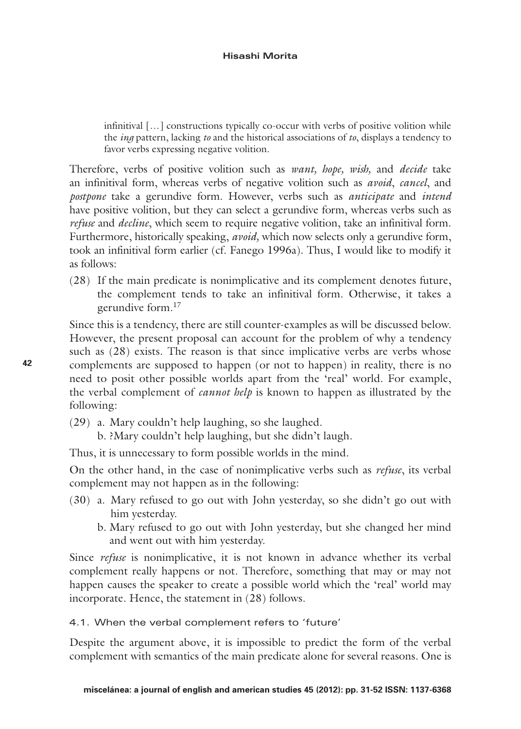infinitival […] constructions typically co-occur with verbs of positive volition while the *ing* pattern, lacking *to* and the historical associations of *to*, displays a tendency to favor verbs expressing negative volition.

Therefore, verbs of positive volition such as *want, hope, wish,* and *decide* take an infinitival form, whereas verbs of negative volition such as *avoid*, *cancel*, and *postpone* take a gerundive form. However, verbs such as *anticipate* and *intend* have positive volition, but they can select a gerundive form, whereas verbs such as *refuse* and *decline*, which seem to require negative volition, take an infinitival form. Furthermore, historically speaking, *avoid,* which now selects only a gerundive form, took an infinitival form earlier (cf. Fanego 1996a). Thus, I would like to modify it as follows:

(28) If the main predicate is nonimplicative and its complement denotes future, the complement tends to take an infinitival form. Otherwise, it takes a gerundive form.17

Since this is a tendency, there are still counter-examples as will be discussed below. However, the present proposal can account for the problem of why a tendency such as (28) exists. The reason is that since implicative verbs are verbs whose complements are supposed to happen (or not to happen) in reality, there is no need to posit other possible worlds apart from the 'real' world. For example, the verbal complement of *cannot help* is known to happen as illustrated by the following:

- (29) a. Mary couldn't help laughing, so she laughed.
	- b. ?Mary couldn't help laughing, but she didn't laugh.

Thus, it is unnecessary to form possible worlds in the mind.

On the other hand, in the case of nonimplicative verbs such as *refuse*, its verbal complement may not happen as in the following:

- (30) a. Mary refused to go out with John yesterday, so she didn't go out with him yesterday.
	- b. Mary refused to go out with John yesterday, but she changed her mind and went out with him yesterday.

Since *refuse* is nonimplicative, it is not known in advance whether its verbal complement really happens or not. Therefore, something that may or may not happen causes the speaker to create a possible world which the 'real' world may incorporate. Hence, the statement in (28) follows.

4.1. When the verbal complement refers to 'future'

Despite the argument above, it is impossible to predict the form of the verbal complement with semantics of the main predicate alone for several reasons. One is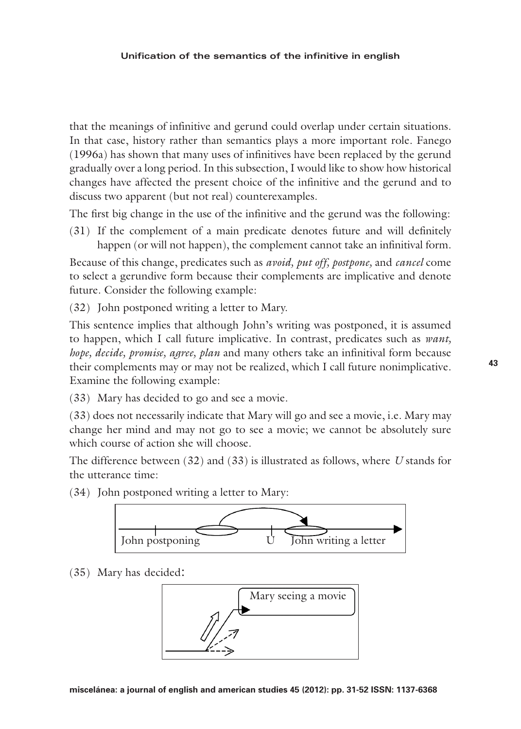#### **Unification of the semantics of the infinitive in english**

that the meanings of infinitive and gerund could overlap under certain situations. In that case, history rather than semantics plays a more important role. Fanego (1996a) has shown that many uses of infinitives have been replaced by the gerund gradually over a long period. In this subsection, I would like to show how historical changes have affected the present choice of the infinitive and the gerund and to discuss two apparent (but not real) counterexamples.

The first big change in the use of the infinitive and the gerund was the following:

(31) If the complement of a main predicate denotes future and will definitely happen (or will not happen), the complement cannot take an infinitival form.

Because of this change, predicates such as *avoid, put off, postpone,* and *cancel* come to select a gerundive form because their complements are implicative and denote future. Consider the following example:

(32) John postponed writing a letter to Mary.

This sentence implies that although John's writing was postponed, it is assumed to happen, which I call future implicative. In contrast, predicates such as *want, hope, decide, promise, agree, plan* and many others take an infinitival form because their complements may or may not be realized, which I call future nonimplicative. Examine the following example:

(33) Mary has decided to go and see a movie.

(33) does not necessarily indicate that Mary will go and see a movie, i.e. Mary may change her mind and may not go to see a movie; we cannot be absolutely sure which course of action she will choose.

The difference between (32) and (33) is illustrated as follows, where *U* stands for the utterance time:

(34) John postponed writing a letter to Mary:



(35) Mary has decided:

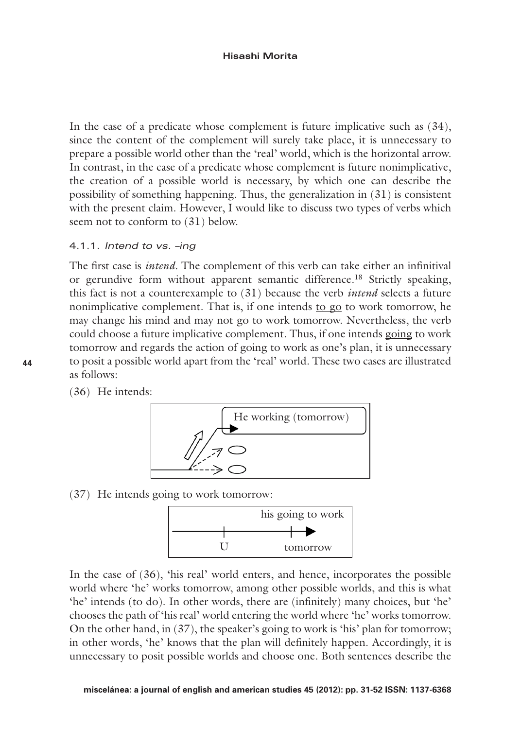#### **Hisashi Morita**

In the case of a predicate whose complement is future implicative such as (34), since the content of the complement will surely take place, it is unnecessary to prepare a possible world other than the 'real' world, which is the horizontal arrow. In contrast, in the case of a predicate whose complement is future nonimplicative, the creation of a possible world is necessary, by which one can describe the possibility of something happening. Thus, the generalization in (31) is consistent with the present claim. However, I would like to discuss two types of verbs which seem not to conform to (31) below.

#### 4.1.1. *Intend to vs. –ing*

The first case is *intend*. The complement of this verb can take either an infinitival or gerundive form without apparent semantic difference.18 Strictly speaking, this fact is not a counterexample to (31) because the verb *intend* selects a future nonimplicative complement. That is, if one intends to go to work tomorrow, he may change his mind and may not go to work tomorrow. Nevertheless, the verb could choose a future implicative complement. Thus, if one intends going to work tomorrow and regards the action of going to work as one's plan, it is unnecessary to posit a possible world apart from the 'real' world. These two cases are illustrated as follows:

(36) He intends:



(37) He intends going to work tomorrow:



In the case of (36), 'his real' world enters, and hence, incorporates the possible world where 'he' works tomorrow, among other possible worlds, and this is what 'he' intends (to do). In other words, there are (infinitely) many choices, but 'he' chooses the path of 'his real' world entering the world where 'he' works tomorrow. On the other hand, in (37), the speaker's going to work is 'his' plan for tomorrow; in other words, 'he' knows that the plan will definitely happen. Accordingly, it is unnecessary to posit possible worlds and choose one. Both sentences describe the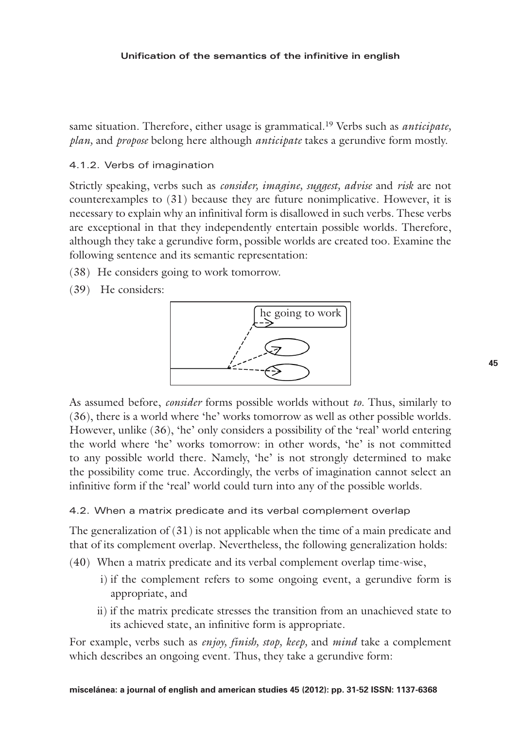#### **Unification of the semantics of the infinitive in english**

same situation. Therefore, either usage is grammatical.19 Verbs such as *anticipate, plan,* and *propose* belong here although *anticipate* takes a gerundive form mostly.

### 4.1.2. Verbs of imagination

Strictly speaking, verbs such as *consider, imagine, suggest, advise* and *risk* are not counterexamples to (31) because they are future nonimplicative. However, it is necessary to explain why an infinitival form is disallowed in such verbs. These verbs are exceptional in that they independently entertain possible worlds. Therefore, although they take a gerundive form, possible worlds are created too. Examine the following sentence and its semantic representation:

- (38) He considers going to work tomorrow.
- (39) He considers:



As assumed before, *consider* forms possible worlds without *to.* Thus, similarly to (36), there is a world where 'he' works tomorrow as well as other possible worlds. However, unlike (36), 'he' only considers a possibility of the 'real' world entering the world where 'he' works tomorrow: in other words, 'he' is not committed to any possible world there. Namely, 'he' is not strongly determined to make the possibility come true. Accordingly, the verbs of imagination cannot select an infinitive form if the 'real' world could turn into any of the possible worlds.

## 4.2. When a matrix predicate and its verbal complement overlap

The generalization of  $(31)$  is not applicable when the time of a main predicate and that of its complement overlap. Nevertheless, the following generalization holds:

- (40) When a matrix predicate and its verbal complement overlap time-wise,
	- i) if the complement refers to some ongoing event, a gerundive form is appropriate, and
	- ii) if the matrix predicate stresses the transition from an unachieved state to its achieved state, an infinitive form is appropriate.

For example, verbs such as *enjoy, finish, stop, keep,* and *mind* take a complement which describes an ongoing event. Thus, they take a gerundive form: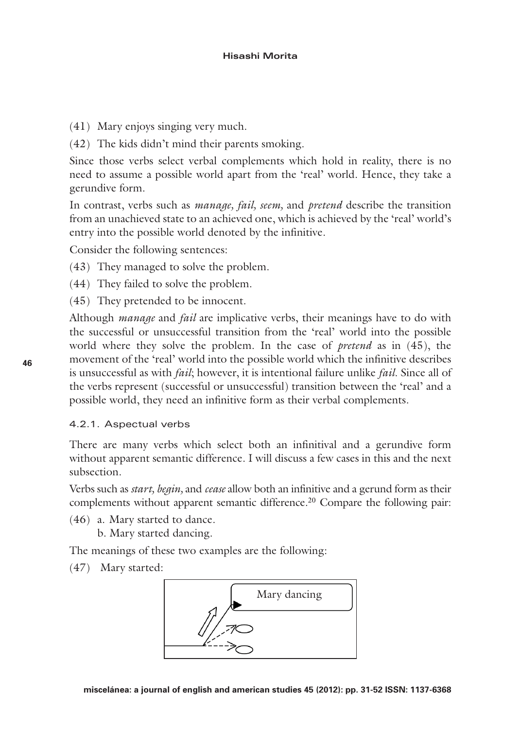- (41) Mary enjoys singing very much.
- (42) The kids didn't mind their parents smoking.

Since those verbs select verbal complements which hold in reality, there is no need to assume a possible world apart from the 'real' world. Hence, they take a gerundive form.

In contrast, verbs such as *manage, fail, seem,* and *pretend* describe the transition from an unachieved state to an achieved one, which is achieved by the 'real' world's entry into the possible world denoted by the infinitive.

Consider the following sentences:

- (43) They managed to solve the problem.
- (44) They failed to solve the problem.
- (45) They pretended to be innocent.

Although *manage* and *fail* are implicative verbs, their meanings have to do with the successful or unsuccessful transition from the 'real' world into the possible world where they solve the problem. In the case of *pretend* as in (45), the movement of the 'real' world into the possible world which the infinitive describes is unsuccessful as with *fail*; however, it is intentional failure unlike *fail*. Since all of the verbs represent (successful or unsuccessful) transition between the 'real' and a possible world, they need an infinitive form as their verbal complements.

## 4.2.1. Aspectual verbs

There are many verbs which select both an infinitival and a gerundive form without apparent semantic difference. I will discuss a few cases in this and the next subsection.

Verbs such as *start, begin,* and *cease* allow both an infinitive and a gerund form as their complements without apparent semantic difference.<sup>20</sup> Compare the following pair:

(46) a. Mary started to dance.

b. Mary started dancing.

The meanings of these two examples are the following:

(47) Mary started:

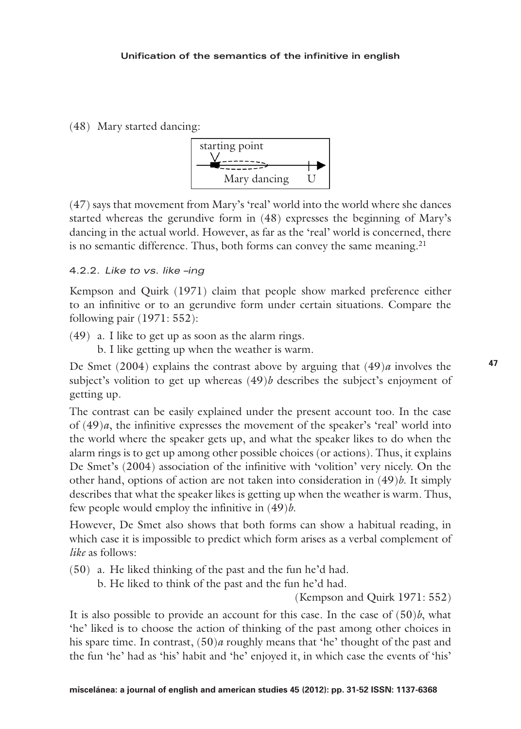(48) Mary started dancing:



(47) says that movement from Mary's 'real' world into the world where she dances started whereas the gerundive form in (48) expresses the beginning of Mary's dancing in the actual world. However, as far as the 'real' world is concerned, there is no semantic difference. Thus, both forms can convey the same meaning. $2<sup>1</sup>$ 

## 4.2.2. *Like to vs. like –ing*

Kempson and Quirk (1971) claim that people show marked preference either to an infinitive or to an gerundive form under certain situations. Compare the following pair (1971: 552):

(49) a. I like to get up as soon as the alarm rings.

b. I like getting up when the weather is warm.

De Smet (2004) explains the contrast above by arguing that (49)*a* involves the subject's volition to get up whereas (49)*b* describes the subject's enjoyment of getting up.

The contrast can be easily explained under the present account too. In the case of  $(49)a$ , the infinitive expresses the movement of the speaker's 'real' world into the world where the speaker gets up, and what the speaker likes to do when the alarm rings is to get up among other possible choices (or actions). Thus, it explains De Smet's (2004) association of the infinitive with 'volition' very nicely. On the other hand, options of action are not taken into consideration in (49)*b*. It simply describes that what the speaker likes is getting up when the weather is warm. Thus, few people would employ the infinitive in (49)*b*.

However, De Smet also shows that both forms can show a habitual reading, in which case it is impossible to predict which form arises as a verbal complement of *like* as follows:

(50) a. He liked thinking of the past and the fun he'd had.

b. He liked to think of the past and the fun he'd had.

(Kempson and Quirk 1971: 552)

It is also possible to provide an account for this case. In the case of  $(50)$ *b*, what 'he' liked is to choose the action of thinking of the past among other choices in his spare time. In contrast, (50)*a* roughly means that 'he' thought of the past and the fun 'he' had as 'his' habit and 'he' enjoyed it, in which case the events of 'his'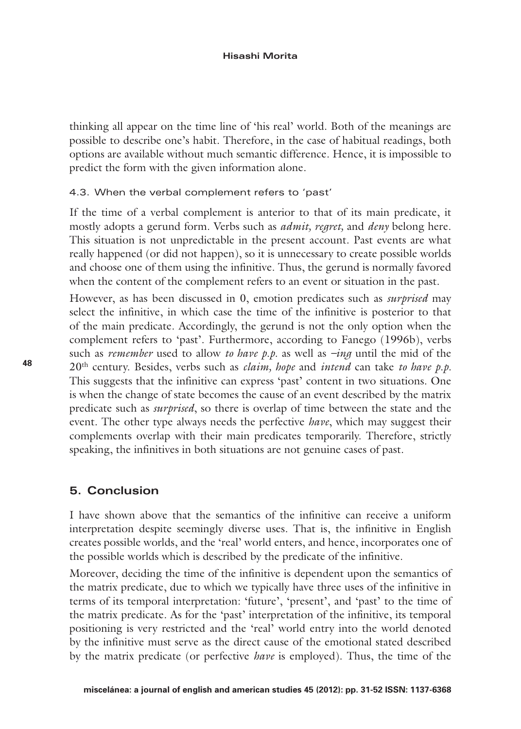thinking all appear on the time line of 'his real' world. Both of the meanings are possible to describe one's habit. Therefore, in the case of habitual readings, both options are available without much semantic difference. Hence, it is impossible to predict the form with the given information alone.

#### 4.3. When the verbal complement refers to 'past'

If the time of a verbal complement is anterior to that of its main predicate, it mostly adopts a gerund form. Verbs such as *admit, regret,* and *deny* belong here. This situation is not unpredictable in the present account. Past events are what really happened (or did not happen), so it is unnecessary to create possible worlds and choose one of them using the infinitive. Thus, the gerund is normally favored when the content of the complement refers to an event or situation in the past.

However, as has been discussed in 0, emotion predicates such as *surprised* may select the infinitive, in which case the time of the infinitive is posterior to that of the main predicate. Accordingly, the gerund is not the only option when the complement refers to 'past'. Furthermore, according to Fanego (1996b), verbs such as *remember* used to allow *to have p.p.* as well as *–ing* until the mid of the 20th century. Besides, verbs such as *claim, hope* and *intend* can take *to have p.p.* This suggests that the infinitive can express 'past' content in two situations. One is when the change of state becomes the cause of an event described by the matrix predicate such as *surprised*, so there is overlap of time between the state and the event. The other type always needs the perfective *have*, which may suggest their complements overlap with their main predicates temporarily. Therefore, strictly speaking, the infinitives in both situations are not genuine cases of past.

# **5. Conclusion**

I have shown above that the semantics of the infinitive can receive a uniform interpretation despite seemingly diverse uses. That is, the infinitive in English creates possible worlds, and the 'real' world enters, and hence, incorporates one of the possible worlds which is described by the predicate of the infinitive.

Moreover, deciding the time of the infinitive is dependent upon the semantics of the matrix predicate, due to which we typically have three uses of the infinitive in terms of its temporal interpretation: 'future', 'present', and 'past' to the time of the matrix predicate. As for the 'past' interpretation of the infinitive, its temporal positioning is very restricted and the 'real' world entry into the world denoted by the infinitive must serve as the direct cause of the emotional stated described by the matrix predicate (or perfective *have* is employed). Thus, the time of the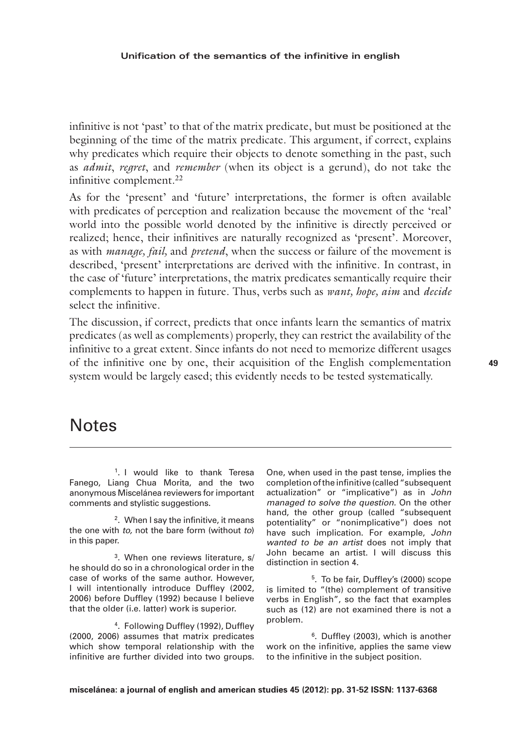infinitive is not 'past' to that of the matrix predicate, but must be positioned at the beginning of the time of the matrix predicate. This argument, if correct, explains why predicates which require their objects to denote something in the past, such as *admit*, *regret*, and *remember* (when its object is a gerund), do not take the infinitive complement.<sup>22</sup>

As for the 'present' and 'future' interpretations, the former is often available with predicates of perception and realization because the movement of the 'real' world into the possible world denoted by the infinitive is directly perceived or realized; hence, their infinitives are naturally recognized as 'present'. Moreover, as with *manage, fail,* and *pretend*, when the success or failure of the movement is described, 'present' interpretations are derived with the infinitive. In contrast, in the case of 'future' interpretations, the matrix predicates semantically require their complements to happen in future. Thus, verbs such as *want, hope, aim* and *decide* select the infinitive.

The discussion, if correct, predicts that once infants learn the semantics of matrix predicates (as well as complements) properly, they can restrict the availability of the infinitive to a great extent. Since infants do not need to memorize different usages of the infinitive one by one, their acquisition of the English complementation system would be largely eased; this evidently needs to be tested systematically.

# **Notes**

<sup>1</sup>. I would like to thank Teresa Fanego, Liang Chua Morita, and the two anonymous Miscelánea reviewers for important comments and stylistic suggestions.

2. When I say the infinitive, it means the one with *to,* not the bare form (without *to*) in this paper.

3. When one reviews literature, s/ he should do so in a chronological order in the case of works of the same author. However, I will intentionally introduce Duffley (2002, 2006) before Duffley (1992) because I believe that the older (i.e. latter) work is superior.

4. Following Duffley (1992), Duffley (2000, 2006) assumes that matrix predicates which show temporal relationship with the infinitive are further divided into two groups. One, when used in the past tense, implies the completion of the infinitive (called "subsequent actualization" or "implicative") as in *John managed to solve the question.* On the other hand, the other group (called "subsequent potentiality" or "nonimplicative") does not have such implication. For example, *John wanted to be an artist* does not imply that John became an artist. I will discuss this distinction in section 4.

5. To be fair, Duffley's (2000) scope is limited to "(the) complement of transitive verbs in English", so the fact that examples such as (12) are not examined there is not a problem.

6. Duffley (2003), which is another work on the infinitive, applies the same view to the infinitive in the subject position.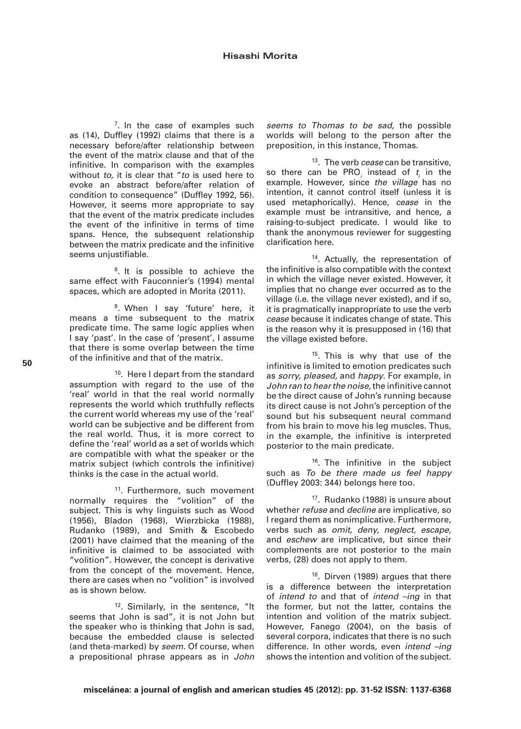$7.$  In the case of examples such as (14), Duffley (1992) claims that there is a necessary before/after relationship between the event of the matrix clause and that of the infinitive. In comparison with the examples without *to,* it is clear that "*to* is used here to evoke an abstract before/after relation of condition to consequence" (Duffley 1992, 56). However, it seems more appropriate to say that the event of the matrix predicate includes the event of the infinitive in terms of time spans. Hence, the subsequent relationship between the matrix predicate and the infinitive seems unjustifiable.

<sup>8</sup>. It is possible to achieve the same effect with Fauconnier's (1994) mental spaces, which are adopted in Morita (2011).

9. When I say 'future' here, it means a time subsequent to the matrix predicate time. The same logic applies when I say 'past'. In the case of 'present', I assume that there is some overlap between the time of the infinitive and that of the matrix.

10. Here I depart from the standard assumption with regard to the use of the 'real' world in that the real world normally represents the world which truthfully reflects the current world whereas my use of the 'real' world can be subjective and be different from the real world. Thus, it is more correct to define the 'real' world as a set of worlds which are compatible with what the speaker or the matrix subject (which controls the infinitive) thinks is the case in the actual world.

<sup>11</sup>. Furthermore, such movement normally requires the "volition" of the subject. This is why linguists such as Wood (1956), Bladon (1968), Wierzbicka (1988), Rudanko (1989), and Smith & Escobedo (2001) have claimed that the meaning of the infinitive is claimed to be associated with "volition". However, the concept is derivative from the concept of the movement. Hence, there are cases when no "volition" is involved as is shown below.

<sup>12</sup>. Similarly, in the sentence, "It seems that John is sad", it is not John but the speaker who is thinking that John is sad, because the embedded clause is selected (and theta-marked) by *seem.* Of course, when a prepositional phrase appears as in *John*

*seems to Thomas to be sad,* the possible worlds will belong to the person after the preposition, in this instance, Thomas.

13. The verb *cease* can be transitive, so there can be  $PRO<sub>i</sub>$  instead of  $t<sub>i</sub>$  in the *i* example. However, since *the village* has no intention, it cannot control itself (unless it is used metaphorically). Hence, *cease* in the example must be intransitive, and hence, a raising-to-subject predicate. I would like to thank the anonymous reviewer for suggesting clarification here.

14. Actually, the representation of the infinitive is also compatible with the context in which the village never existed. However, it implies that no change ever occurred as to the village (i.e. the village never existed), and if so, it is pragmatically inappropriate to use the verb *cease* because it indicates change of state. This is the reason why it is presupposed in (16) that the village existed before.

<sup>15</sup>. This is why that use of the infinitive is limited to emotion predicates such as *sorry, pleased,* and *happy*. For example, in *John ran to hear the noise,* the infinitive cannot be the direct cause of John's running because its direct cause is not John's perception of the sound but his subsequent neural command from his brain to move his leg muscles. Thus, in the example, the infinitive is interpreted posterior to the main predicate.

16. The infinitive in the subject such as *To be there made us feel happy* (Duffley 2003: 344) belongs here too.

17. Rudanko (1988) is unsure about whether *refuse* and *decline* are implicative, so I regard them as nonimplicative. Furthermore, verbs such as *omit, deny, neglect, escape,*  and *eschew* are implicative, but since their complements are not posterior to the main verbs, (28) does not apply to them.

18. Dirven (1989) argues that there is a difference between the interpretation of *intend to* and that of *intend –ing* in that the former, but not the latter, contains the intention and volition of the matrix subject. However, Fanego (2004), on the basis of several corpora, indicates that there is no such difference. In other words, even *intend –ing* shows the intention and volition of the subject.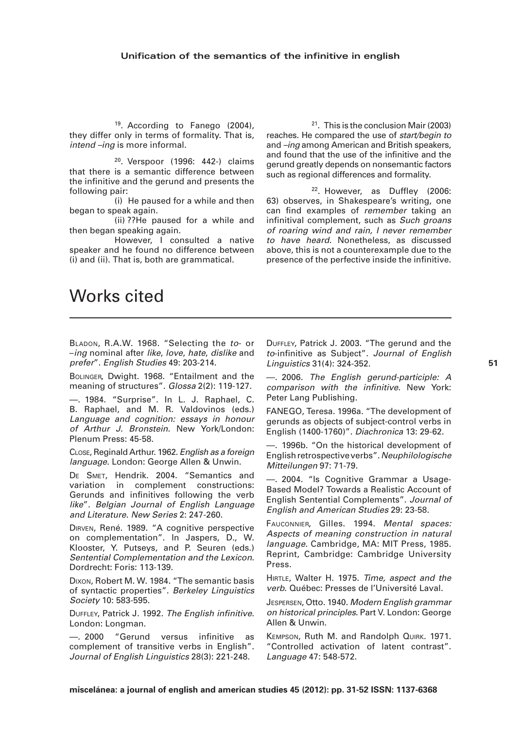19. According to Fanego (2004), they differ only in terms of formality. That is, *intend –ing* is more informal.

20. Verspoor (1996: 442-) claims that there is a semantic difference between the infinitive and the gerund and presents the following pair:

(i) He paused for a while and then began to speak again.

(ii) ??He paused for a while and then began speaking again.

However, I consulted a native speaker and he found no difference between (i) and (ii). That is, both are grammatical.

21. This is the conclusion Mair (2003) reaches. He compared the use of *start/begin to* and *–ing* among American and British speakers, and found that the use of the infinitive and the gerund greatly depends on nonsemantic factors such as regional differences and formality.

22. However, as Duffley (2006: 63) observes, in Shakespeare's writing, one can find examples of *remember* taking an infinitival complement, such as *Such groans of roaring wind and rain, I never remember to have heard.* Nonetheless, as discussed above, this is not a counterexample due to the presence of the perfective inside the infinitive.

# Works cited

Bladon, R.A.W. 1968. "Selecting the *to*- or –*ing* nominal after *like*, *love*, *hate*, *dislike* and *prefer*". *English Studies* 49: 203-214.

Bolinger, Dwight. 1968. "Entailment and the meaning of structures". *Glossa* 2(2): 119-127.

—. 1984. "Surprise". In L. J. Raphael, C. B. Raphael, and M. R. Valdovinos (eds.) *Language and cognition: essays in honour of Arthur J. Bronstein*. New York/London: Plenum Press: 45-58.

Close, Reginald Arthur. 1962. *English as a foreign language*. London: George Allen & Unwin.

DE SMET, Hendrik. 2004. "Semantics and variation in complement constructions: Gerunds and infinitives following the verb *like*". *Belgian Journal of English Language and Literature*. *New Series* 2: 247-260.

Dirven, René. 1989. "A cognitive perspective on complementation". In Jaspers, D., W. Klooster, Y. Putseys, and P. Seuren (eds.) *Sentential Complementation and the Lexicon*. Dordrecht: Foris: 113-139.

Dixon, Robert M. W. 1984. "The semantic basis of syntactic properties". *Berkeley Linguistics Society* 10: 583-595.

Duffley, Patrick J. 1992. *The English infinitive*. London: Longman.

—. 2000 "Gerund versus infinitive as complement of transitive verbs in English". *Journal of English Linguistics* 28(3): 221-248.

Duffley, Patrick J. 2003. "The gerund and the *to*-infinitive as Subject". *Journal of English Linguistics* 31(4): 324-352.

—. 2006. *The English gerund-participle: A comparison with the infinitive*. New York: Peter Lang Publishing.

FANEGO, Teresa. 1996a. "The development of gerunds as objects of subject-control verbs in English (1400-1760)". *Diachronica* 13: 29-62.

—. 1996b. "On the historical development of English retrospective verbs". *Neuphilologische Mitteilungen* 97: 71-79.

—. 2004. "Is Cognitive Grammar a Usage-Based Model? Towards a Realistic Account of English Sentential Complements". *Journal of English and American Studies* 29: 23-58.

Fauconnier, Gilles. 1994. *Mental spaces: Aspects of meaning construction in natural language*. Cambridge, MA: MIT Press, 1985. Reprint, Cambridge: Cambridge University Press.

Hirtle, Walter H. 1975. *Time, aspect and the verb*. Québec: Presses de l'Université Laval.

Jespersen, Otto. 1940. *Modern English grammar on historical principles*. Part V. London: George Allen & Unwin.

Kempson, Ruth M. and Randolph Quirk. 1971. "Controlled activation of latent contrast". *Language* 47: 548-572.